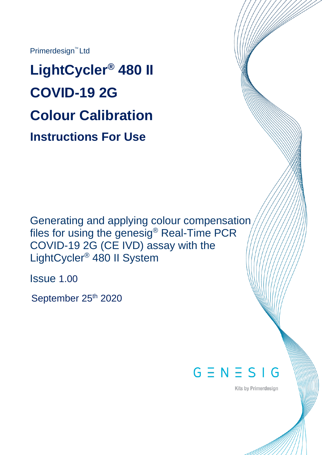Primerdesign<sup>™</sup> Ltd

**LightCycler® 480 II COVID-19 2G Colour Calibration Instructions For Use**

Generating and applying colour compensation files for using the genesig® Real-Time PCR COVID-19 2G (CE IVD) assay with the LightCycler® 480 II System

Issue 1.00

September 25<sup>th</sup> 2020



**Kits by Primerdesign**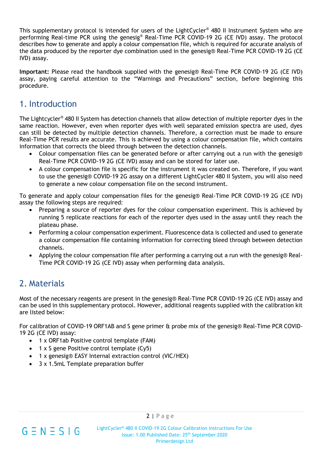This supplementary protocol is intended for users of the LightCycler® 480 II Instrument System who are performing Real-time PCR using the genesig® Real-Time PCR COVID-19 2G (CE IVD) assay. The protocol describes how to generate and apply a colour compensation file, which is required for accurate analysis of the data produced by the reporter dye combination used in the genesig® Real-Time PCR COVID-19 2G (CE IVD) assay.

**Important:** Please read the handbook supplied with the genesig® Real-Time PCR COVID-19 2G (CE IVD) assay, paying careful attention to the "Warnings and Precautions" section, before beginning this procedure.

## 1. Introduction

The Lightcycler® 480 II System has detection channels that allow detection of multiple reporter dyes in the same reaction. However, even when reporter dyes with well separated emission spectra are used, dyes can still be detected by multiple detection channels. Therefore, a correction must be made to ensure Real-Time PCR results are accurate. This is achieved by using a colour compensation file, which contains information that corrects the bleed through between the detection channels.

- Colour compensation files can be generated before or after carrying out a run with the genesig® Real-Time PCR COVID-19 2G (CE IVD) assay and can be stored for later use.
- A colour compensation file is specific for the instrument it was created on. Therefore, if you want to use the genesig® COVID-19 2G assay on a different LightCycler 480 II System, you will also need to generate a new colour compensation file on the second instrument.

To generate and apply colour compensation files for the genesig® Real-Time PCR COVID-19 2G (CE IVD) assay the following steps are required:

- Preparing a source of reporter dyes for the colour compensation experiment. This is achieved by running 5 replicate reactions for each of the reporter dyes used in the assay until they reach the plateau phase.
- Performing a colour compensation experiment. Fluorescence data is collected and used to generate a colour compensation file containing information for correcting bleed through between detection channels.
- Applying the colour compensation file after performing a carrying out a run with the genesig® Real-Time PCR COVID-19 2G (CE IVD) assay when performing data analysis.

# 2. Materials

Most of the necessary reagents are present in the genesig® Real-Time PCR COVID-19 2G (CE IVD) assay and can be used in this supplementary protocol. However, additional reagents supplied with the calibration kit are listed below:

For calibration of COVID-19 ORF1AB and S gene primer & probe mix of the genesig® Real-Time PCR COVID-19 2G (CE IVD) assay:

- 1 x ORF1ab Positive control template (FAM)
- 1 x S gene Positive control template (Cy5)
- 1 x genesig® EASY Internal extraction control (VIC/HEX)
- 3 x 1.5mL Template preparation buffer

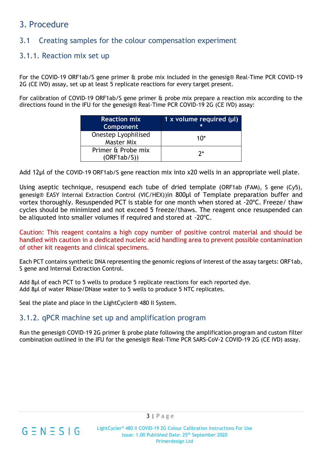## 3. Procedure

## 3.1 Creating samples for the colour compensation experiment

#### 3.1.1. Reaction mix set up

For the COVID-19 ORF1ab/S gene primer & probe mix included in the genesig® Real-Time PCR COVID-19 2G (CE IVD) assay, set up at least 5 replicate reactions for every target present.

For calibration of COVID-19 ORF1ab/S gene primer & probe mix prepare a reaction mix according to the directions found in the IFU for the genesig® Real-Time PCR COVID-19 2G (CE IVD) assay:

| <b>Reaction mix</b><br>Component         | 1 x volume required $(\mu I)$ |
|------------------------------------------|-------------------------------|
| Onestep Lyophilised<br><b>Master Mix</b> | 1በ*                           |
| Primer & Probe mix<br>(ORF1ab/S))        | 7*                            |

Add 12µl of the COVID-19 ORF1ab/S gene reaction mix into x20 wells in an appropriate well plate.

Using aseptic technique, resuspend each tube of dried template (ORF1ab (FAM), S gene (Cy5), genesig® EASY Internal Extraction Control (VIC/HEX))in 800µl of Template preparation buffer and vortex thoroughly. Resuspended PCT is stable for one month when stored at -20ºC. Freeze/ thaw cycles should be minimized and not exceed 5 freeze/thaws. The reagent once resuspended can be aliquoted into smaller volumes if required and stored at -20ºC.

Caution: This reagent contains a high copy number of positive control material and should be handled with caution in a dedicated nucleic acid handling area to prevent possible contamination of other kit reagents and clinical specimens.

Each PCT contains synthetic DNA representing the genomic regions of interest of the assay targets: ORF1ab, S gene and Internal Extraction Control.

Add 8µl of each PCT to 5 wells to produce 5 replicate reactions for each reported dye. Add 8µl of water RNase/DNase water to 5 wells to produce 5 NTC replicates.

Seal the plate and place in the LightCycler® 480 II System.

#### 3.1.2. qPCR machine set up and amplification program

Run the genesig® COVID-19 2G primer & probe plate following the amplification program and custom filter combination outlined in the IFU for the genesig® Real-Time PCR SARS-CoV-2 COVID-19 2G (CE IVD) assay.

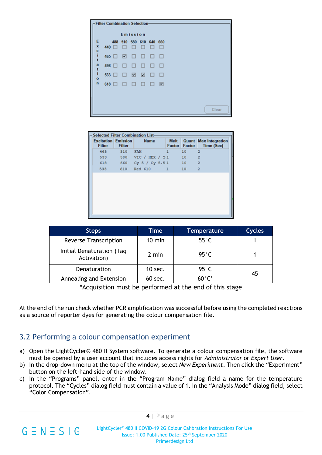| <b>Filter Combination Selection</b> |              |              |        |        |                          |        |        |  |  |  |  |       |  |  |
|-------------------------------------|--------------|--------------|--------|--------|--------------------------|--------|--------|--|--|--|--|-------|--|--|
| Emission                            |              |              |        |        |                          |        |        |  |  |  |  |       |  |  |
| Ε<br>×                              | 440 □        | 488          | □      | □      | 510 580 610 640 660<br>□ | □      | □      |  |  |  |  |       |  |  |
| $\frac{c}{i}$                       |              | $465$ $\Box$ | ⊡      | $\Box$ | $\Box$                   | $\Box$ | $\Box$ |  |  |  |  |       |  |  |
| a<br>t                              | 498          |              | □      | □      | □                        | $\Box$ | $\Box$ |  |  |  |  |       |  |  |
| î,<br>o                             | $533$ $\Box$ |              | $\Box$ | ⊡      | ⊡                        | $\Box$ | $\Box$ |  |  |  |  |       |  |  |
| $\mathbf n$                         | $618$ $\Box$ |              | $\Box$ | □      | □                        | □      | ☑      |  |  |  |  |       |  |  |
|                                     |              |              |        |        |                          |        |        |  |  |  |  |       |  |  |
|                                     |              |              |        |        |                          |        |        |  |  |  |  | Clear |  |  |

| <b>Selected Filter Combination List-</b>    |               |                    |                       |                  |                                                   |  |  |  |  |  |
|---------------------------------------------|---------------|--------------------|-----------------------|------------------|---------------------------------------------------|--|--|--|--|--|
| <b>Excitation Emission</b><br><b>Filter</b> | <b>Filter</b> | <b>Name</b>        | <b>Melt</b><br>Factor | Factor           | <b>Quant Max Integration</b><br><b>Time (Sec)</b> |  |  |  |  |  |
| 465                                         | 510           | <b>FAM</b>         | ı                     | 10               | $\overline{\mathbf{2}}$                           |  |  |  |  |  |
| 533                                         | 580           | VIC / HEX / Y1     |                       | 10               | $\overline{2}$                                    |  |  |  |  |  |
| 618                                         |               | 660 Cy 5 / Cy 5.51 |                       | 10 <sub>10</sub> | $\overline{2}$                                    |  |  |  |  |  |
| 533                                         | 610           | Red 610            | ı                     | 10               | $\overline{2}$                                    |  |  |  |  |  |
|                                             |               |                    |                       |                  |                                                   |  |  |  |  |  |

| <b>Steps</b>                             | Time             | <b>Temperature</b> | <b>Cycles</b> |
|------------------------------------------|------------------|--------------------|---------------|
| <b>Reverse Transcription</b>             | $10 \text{ min}$ | $55^{\circ}$ C     |               |
| Initial Denaturation (Taq<br>Activation) | 2 min            | 95 $^{\circ}$ C    |               |
| Denaturation                             | $10$ sec.        | $95^{\circ}$ C     | 45            |
| Annealing and Extension                  | $60$ sec.        | $60^{\circ}$ C*    |               |

\*Acquisition must be performed at the end of this stage

At the end of the run check whether PCR amplification was successful before using the completed reactions as a source of reporter dyes for generating the colour compensation file.

#### 3.2 Performing a colour compensation experiment

 $G \equiv N \equiv S \mid G$ 

- a) Open the LightCycler® 480 II System software. To generate a colour compensation file, the software must be opened by a user account that includes access rights for *Administrator* or *Expert User*.
- b) In the drop-down menu at the top of the window, select *New Experiment*. Then click the "Experiment" button on the left-hand side of the window.
- c) In the "Programs" panel, enter in the "Program Name" dialog field a name for the temperature protocol. The "Cycles" dialog field must contain a value of 1. In the "Analysis Mode" dialog field, select "Color Compensation".

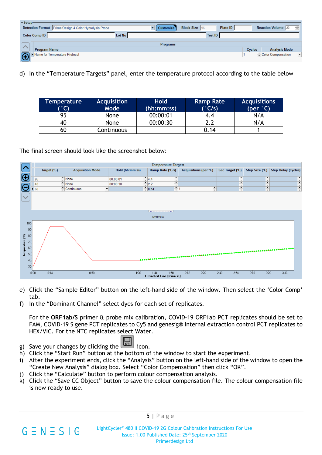| $\Gamma$ Setup                                              |               |                  |                      |                 |               |                           |                      |
|-------------------------------------------------------------|---------------|------------------|----------------------|-----------------|---------------|---------------------------|----------------------|
| Detection Format PrimerDesign 4 Color Hydrolysis Probe      |               | <b>Customize</b> | <b>Block Size</b> 96 | <b>Plate ID</b> |               | <b>Reaction Volume</b> 20 | ÷                    |
| <b>Color Comp ID</b>                                        | <b>Lot No</b> |                  | <b>Test ID</b>       |                 |               |                           |                      |
|                                                             |               | <b>Programs</b>  |                      |                 |               |                           |                      |
|                                                             |               |                  |                      |                 |               |                           |                      |
| <b>Program Name</b>                                         |               |                  |                      |                 | <b>Cycles</b> | <b>Analysis Mode</b>      |                      |
| Name for Temperature Protocol<br>$\left( \bigoplus \right)$ |               |                  |                      |                 |               | Color Compensation        | $\blacktriangledown$ |
|                                                             |               |                  |                      |                 |               |                           |                      |

d) In the "Temperature Targets" panel, enter the temperature protocol according to the table below

| Temperature | <b>Acquisition</b> | <b>Hold</b> | <b>Ramp Rate</b> | <b>Acquisitions</b> |
|-------------|--------------------|-------------|------------------|---------------------|
| (°C)        | Mode               | (hh:mm:ss)  | (°C/s)           | $(per ^{\circ}C)$   |
| 95          | <b>None</b>        | 00:00:01    | 4.4              | N/A                 |
| 40          | None               | 00:00:30    | າ າ              | N/A                 |
| 60          | Continuous         |             | 0.14             |                     |

The final screen should look like the screenshot below:



- e) Click the "Sample Editor" button on the left-hand side of the window. Then select the 'Color Comp' tab.
- f) In the "Dominant Channel" select dyes for each set of replicates.

For the **ORF1ab/S** primer & probe mix calibration, COVID-19 ORF1ab PCT replicates should be set to FAM, COVID-19 S gene PCT replicates to Cy5 and genesig® Internal extraction control PCT replicates to HEX/VIC. For the NTC replicates select Water.

g) Save your changes by clicking the icon.

 $G \equiv N \equiv S \mid G$ 

- h) Click the "Start Run" button at the bottom of the window to start the experiment.
- i) After the experiment ends, click the "Analysis" button on the left-hand side of the window to open the "Create New Analysis" dialog box. Select "Color Compensation" then click "OK".
- j) Click the "Calculate" button to perform colour compensation analysis.
- k) Click the "Save CC Object" button to save the colour compensation file. The colour compensation file is now ready to use.

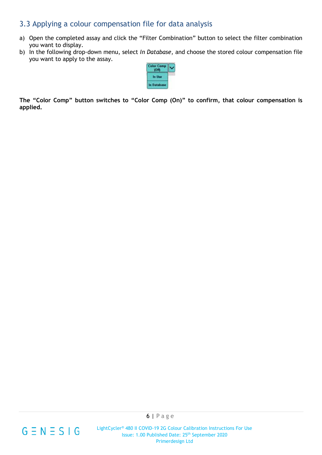### 3.3 Applying a colour compensation file for data analysis

- a) Open the completed assay and click the "Filter Combination" button to select the filter combination you want to display.
- b) In the following drop-down menu, select *In Database*, and choose the stored colour compensation file you want to apply to the assay.



**The "Color Comp" button switches to "Color Comp (On)" to confirm, that colour compensation is applied.**